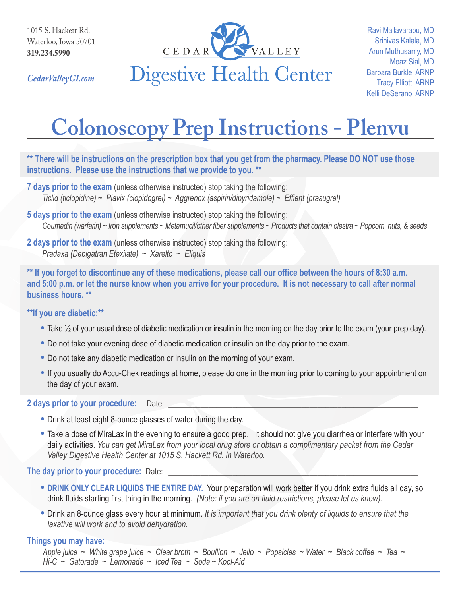

*CedarValleyGI.com*

# **Colonoscopy Prep Instructions - Plenvu**

## **\*\* There will be instructions on the prescription box that you get from the pharmacy. Please DO NOT use those instructions. Please use the instructions that we provide to you. \*\***

- **7 days prior to the exam** (unless otherwise instructed) stop taking the following: *Ticlid (ticlopidine) ~ Plavix (clopidogrel) ~ Aggrenox (aspirin/dipyridamole) ~ Effient (prasugrel)*
- **5 days prior to the exam** (unless otherwise instructed) stop taking the following: *Coumadin (warfarin) ~ Iron supplements ~ Metamucil/other fiber supplements ~ Products that contain olestra ~ Popcorn, nuts, & seeds*
- **2 days prior to the exam** (unless otherwise instructed) stop taking the following: *Pradaxa (Debigatran Etexilate) ~ Xarelto ~ Eliquis*

**\*\* If you forget to discontinue any of these medications, please call our office between the hours of 8:30 a.m. and 5:00 p.m. or let the nurse know when you arrive for your procedure. It is not necessary to call after normal business hours. \*\***

## **\*\*If you are diabetic:\*\***

- **•** Take ½ of your usual dose of diabetic medication or insulin in the morning on the day prior to the exam (your prep day).
- **•** Do not take your evening dose of diabetic medication or insulin on the day prior to the exam.
- **•** Do not take any diabetic medication or insulin on the morning of your exam.
- **•** If you usually do Accu-Chek readings at home, please do one in the morning prior to coming to your appointment on the day of your exam.

#### 2 days prior to your procedure: Date:

- **•** Drink at least eight 8-ounce glasses of water during the day.
- **•** Take a dose of MiraLax in the evening to ensure a good prep. It should not give you diarrhea or interfere with your daily activities. *You can get MiraLax from your local drug store or obtain a complimentary packet from the Cedar Valley Digestive Health Center at 1015 S. Hackett Rd. in Waterloo.*

## **The day prior to your procedure: Date:**

- **• DRINK ONLY CLEAR LIQUIDS THE ENTIRE DAY.** Your preparation will work better if you drink extra fluids all day, so drink fluids starting first thing in the morning. *(Note: if you are on fluid restrictions, please let us know).*
- **•** Drink an 8-ounce glass every hour at minimum. *It is important that you drink plenty of liquids to ensure that the laxative will work and to avoid dehydration.*

## **Things you may have:**

*Apple juice ~ White grape juice ~ Clear broth ~ Boullion ~ Jello ~ Popsicles ~ Water ~ Black coffee ~ Tea ~ Hi-C ~ Gatorade ~ Lemonade ~ Iced Tea ~ Soda ~ Kool-Aid*